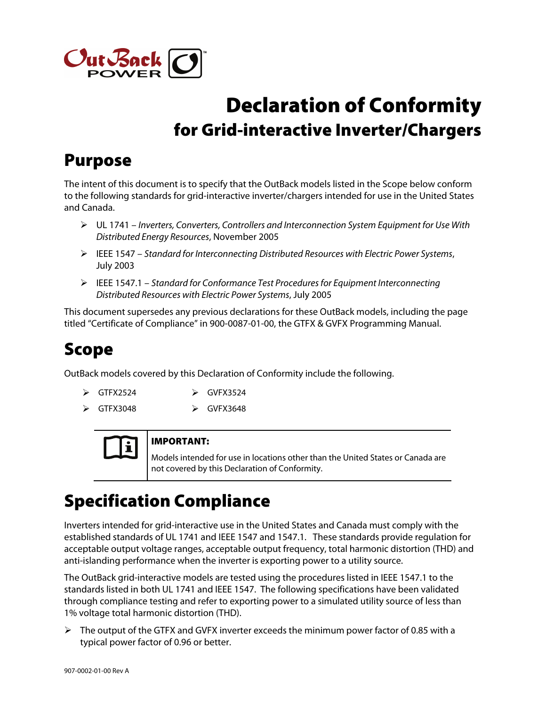

# Declaration of Conformity for Grid-interactive Inverter/Chargers

## Purpose

The intent of this document is to specify that the OutBack models listed in the Scope below conform to the following standards for grid-interactive inverter/chargers intended for use in the United States and Canada.

- UL 1741 Inverters, Converters, Controllers and Interconnection System Equipment for Use With Distributed Energy Resources, November 2005
- $\triangleright$  IEEE 1547 Standard for Interconnecting Distributed Resources with Electric Power Systems, July 2003
- $\triangleright$  IEEE 1547.1 Standard for Conformance Test Procedures for Equipment Interconnecting Distributed Resources with Electric Power Systems, July 2005

This document supersedes any previous declarations for these OutBack models, including the page titled "Certificate of Compliance" in 900-0087-01-00, the GTFX & GVFX Programming Manual.

## Scope

OutBack models covered by this Declaration of Conformity include the following.

- > GTFX2524 > GVFX3524
	-
- $\triangleright$  GTFX3048  $\triangleright$  GVFX3648



#### IMPORTANT:

Models intended for use in locations other than the United States or Canada are not covered by this Declaration of Conformity.

## Specification Compliance

Inverters intended for grid-interactive use in the United States and Canada must comply with the established standards of UL 1741 and IEEE 1547 and 1547.1. These standards provide regulation for acceptable output voltage ranges, acceptable output frequency, total harmonic distortion (THD) and anti-islanding performance when the inverter is exporting power to a utility source.

The OutBack grid-interactive models are tested using the procedures listed in IEEE 1547.1 to the standards listed in both UL 1741 and IEEE 1547. The following specifications have been validated through compliance testing and refer to exporting power to a simulated utility source of less than 1% voltage total harmonic distortion (THD).

 $\triangleright$  The output of the GTFX and GVFX inverter exceeds the minimum power factor of 0.85 with a typical power factor of 0.96 or better.